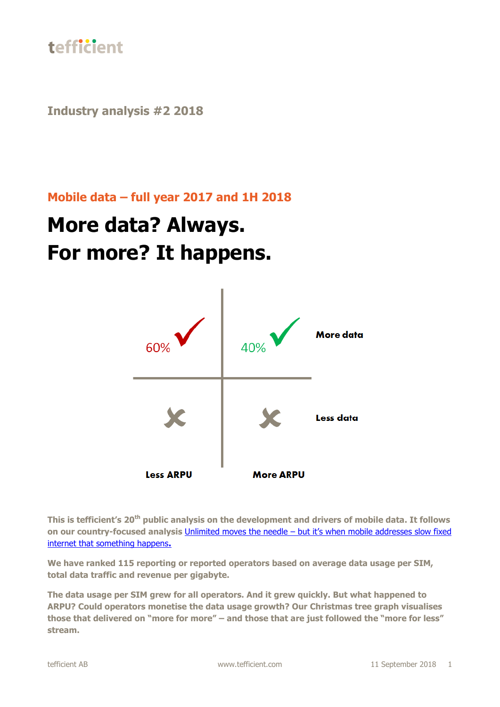

**Industry analysis #2 2018**

### **Mobile data – full year 2017 and 1H 2018**

# **More data? Always. For more? It happens.**



**This is tefficient's 20th public analysis on the development and drivers of mobile data. It follows on our country-focused analysis** [Unlimited moves the needle](https://tefficient.com/unlimited-moves-the-needle-but-its-when-mobile-addresses-slow-fixed-internet-that-something-happens/) – but it's when mobile addresses slow fixed [internet that something happens](https://tefficient.com/unlimited-moves-the-needle-but-its-when-mobile-addresses-slow-fixed-internet-that-something-happens/)**.**

**We have ranked 115 reporting or reported operators based on average data usage per SIM, total data traffic and revenue per gigabyte.**

**The data usage per SIM grew for all operators. And it grew quickly. But what happened to ARPU? Could operators monetise the data usage growth? Our Christmas tree graph visualises those that delivered on "more for more" – and those that are just followed the "more for less" stream.**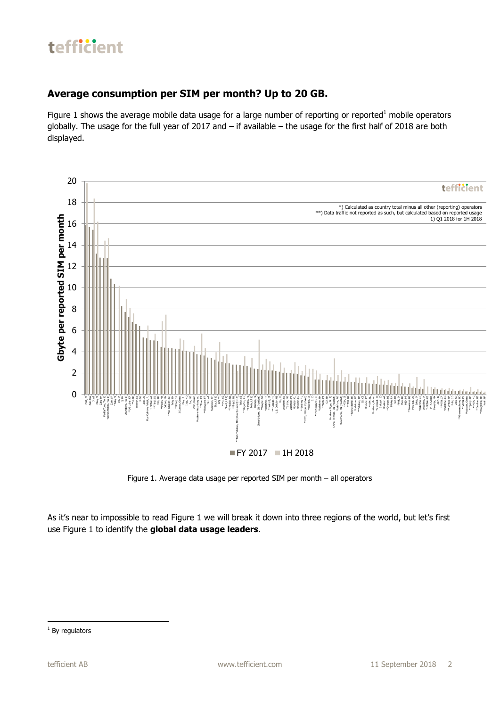### **Average consumption per SIM per month? Up to 20 GB.**

Figure 1 shows the average mobile data usage for a large number of reporting or reported<sup>1</sup> mobile operators globally. The usage for the full year of 2017 and – if available – the usage for the first half of 2018 are both displayed.



Figure 1. Average data usage per reported SIM per month – all operators

As it's near to impossible to read Figure 1 we will break it down into three regions of the world, but let's first use Figure 1 to identify the **global data usage leaders**.

**<sup>.</sup>**  $1$  By regulators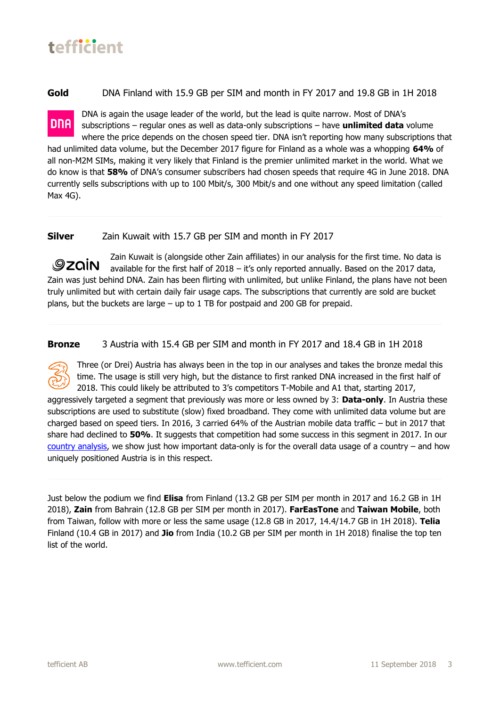**Gold** DNA Finland with 15.9 GB per SIM and month in FY 2017 and 19.8 GB in 1H 2018

DNA is again the usage leader of the world, but the lead is quite narrow. Most of DNA's **DNA** subscriptions – regular ones as well as data-only subscriptions – have **unlimited data** volume where the price depends on the chosen speed tier. DNA isn't reporting how many subscriptions that

had unlimited data volume, but the December 2017 figure for Finland as a whole was a whopping **64%** of all non-M2M SIMs, making it very likely that Finland is the premier unlimited market in the world. What we do know is that **58%** of DNA's consumer subscribers had chosen speeds that require 4G in June 2018. DNA currently sells subscriptions with up to 100 Mbit/s, 300 Mbit/s and one without any speed limitation (called Max 4G).

#### **Silver** Zain Kuwait with 15.7 GB per SIM and month in FY 2017

Zain Kuwait is (alongside other Zain affiliates) in our analysis for the first time. No data is *<u>Dzain</u>* available for the first half of 2018 – it's only reported annually. Based on the 2017 data, Zain was just behind DNA. Zain has been flirting with unlimited, but unlike Finland, the plans have not been truly unlimited but with certain daily fair usage caps. The subscriptions that currently are sold are bucket plans, but the buckets are large – up to 1 TB for postpaid and 200 GB for prepaid.

**Bronze** 3 Austria with 15.4 GB per SIM and month in FY 2017 and 18.4 GB in 1H 2018



Three (or Drei) Austria has always been in the top in our analyses and takes the bronze medal this time. The usage is still very high, but the distance to first ranked DNA increased in the first half of 2018. This could likely be attributed to 3's competitors T-Mobile and A1 that, starting 2017,

aggressively targeted a segment that previously was more or less owned by 3: **Data-only**. In Austria these subscriptions are used to substitute (slow) fixed broadband. They come with unlimited data volume but are charged based on speed tiers. In 2016, 3 carried 64% of the Austrian mobile data traffic – but in 2017 that share had declined to **50%**. It suggests that competition had some success in this segment in 2017. In our [country analysis,](https://tefficient.com/unlimited-moves-the-needle-but-its-when-mobile-addresses-slow-fixed-internet-that-something-happens/) we show just how important data-only is for the overall data usage of a country – and how uniquely positioned Austria is in this respect.

Just below the podium we find **Elisa** from Finland (13.2 GB per SIM per month in 2017 and 16.2 GB in 1H 2018), **Zain** from Bahrain (12.8 GB per SIM per month in 2017). **FarEasTone** and **Taiwan Mobile**, both from Taiwan, follow with more or less the same usage (12.8 GB in 2017, 14.4/14.7 GB in 1H 2018). **Telia** Finland (10.4 GB in 2017) and **Jio** from India (10.2 GB per SIM per month in 1H 2018) finalise the top ten list of the world.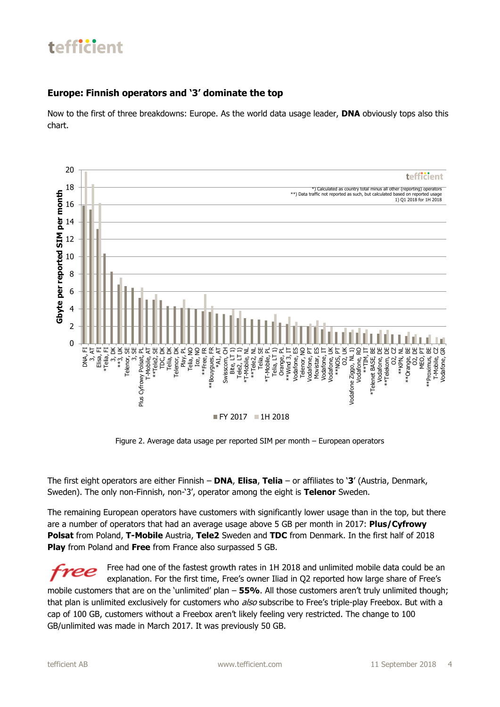#### **Europe: Finnish operators and '3' dominate the top**

Now to the first of three breakdowns: Europe. As the world data usage leader, **DNA** obviously tops also this chart.



Figure 2. Average data usage per reported SIM per month – European operators

The first eight operators are either Finnish – **DNA**, **Elisa**, **Telia** – or affiliates to '**3**' (Austria, Denmark, Sweden). The only non-Finnish, non-'3', operator among the eight is **Telenor** Sweden.

The remaining European operators have customers with significantly lower usage than in the top, but there are a number of operators that had an average usage above 5 GB per month in 2017: **Plus/Cyfrowy Polsat** from Poland, **T-Mobile** Austria, **Tele2** Sweden and **TDC** from Denmark. In the first half of 2018 **Play** from Poland and **Free** from France also surpassed 5 GB.

Free had one of the fastest growth rates in 1H 2018 and unlimited mobile data could be an explanation. For the first time, Free's owner Iliad in Q2 reported how large share of Free's mobile customers that are on the 'unlimited' plan – **55%**. All those customers aren't truly unlimited though; that plan is unlimited exclusively for customers who also subscribe to Free's triple-play Freebox. But with a cap of 100 GB, customers without a Freebox aren't likely feeling very restricted. The change to 100 GB/unlimited was made in March 2017. It was previously 50 GB.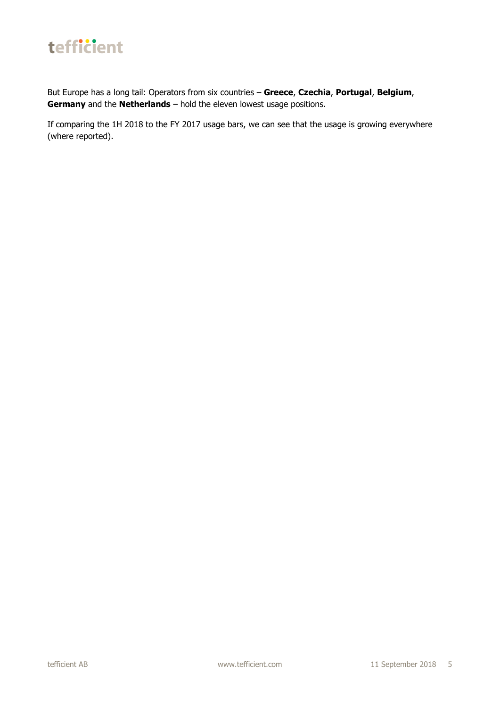

But Europe has a long tail: Operators from six countries – **Greece**, **Czechia**, **Portugal**, **Belgium**, **Germany** and the **Netherlands** – hold the eleven lowest usage positions.

If comparing the 1H 2018 to the FY 2017 usage bars, we can see that the usage is growing everywhere (where reported).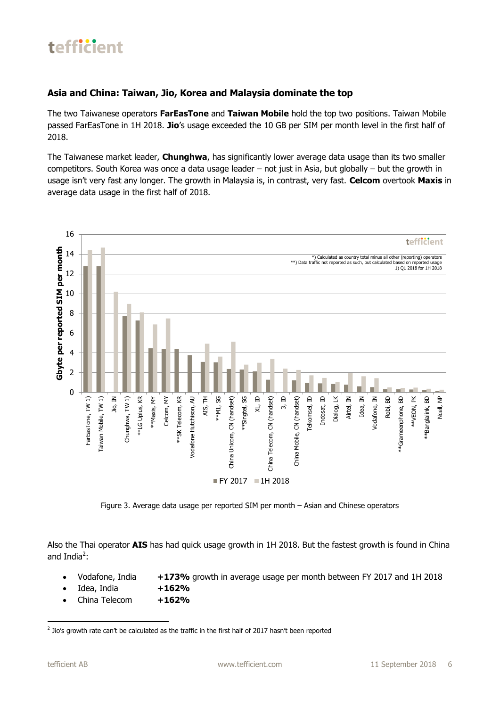#### **Asia and China: Taiwan, Jio, Korea and Malaysia dominate the top**

The two Taiwanese operators **FarEasTone** and **Taiwan Mobile** hold the top two positions. Taiwan Mobile passed FarEasTone in 1H 2018. **Jio**'s usage exceeded the 10 GB per SIM per month level in the first half of 2018.

The Taiwanese market leader, **Chunghwa**, has significantly lower average data usage than its two smaller competitors. South Korea was once a data usage leader – not just in Asia, but globally – but the growth in usage isn't very fast any longer. The growth in Malaysia is, in contrast, very fast. **Celcom** overtook **Maxis** in average data usage in the first half of 2018.



Figure 3. Average data usage per reported SIM per month – Asian and Chinese operators

Also the Thai operator **AIS** has had quick usage growth in 1H 2018. But the fastest growth is found in China and India<sup>2</sup>:

- Vodafone, India **+173%** growth in average usage per month between FY 2017 and 1H 2018
- Idea, India **+162%**
- China Telecom **+162%**

**<sup>.</sup>**  $<sup>2</sup>$  Jio's growth rate can't be calculated as the traffic in the first half of 2017 hasn't been reported</sup>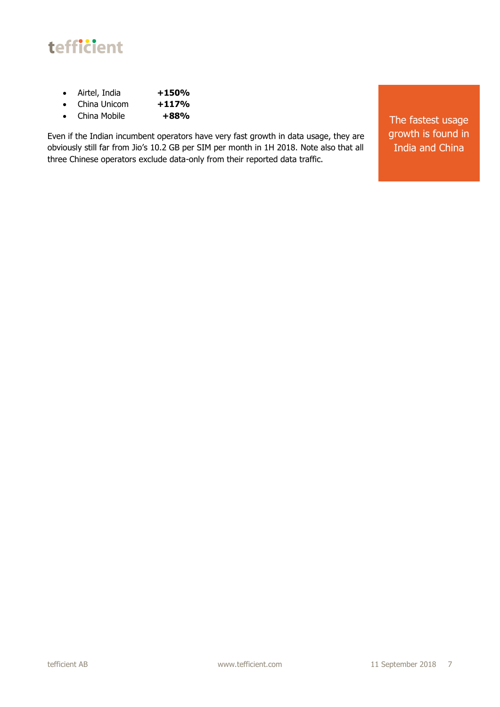

- Airtel, India **+150%**
- China Unicom **+117%**
- China Mobile **+88%**

Even if the Indian incumbent operators have very fast growth in data usage, they are obviously still far from Jio's 10.2 GB per SIM per month in 1H 2018. Note also that all three Chinese operators exclude data-only from their reported data traffic.

The fastest usage growth is found in India and China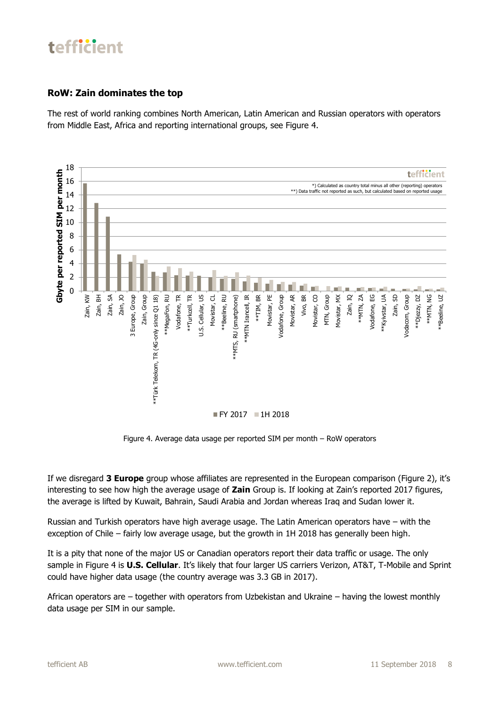#### **RoW: Zain dominates the top**

The rest of world ranking combines North American, Latin American and Russian operators with operators from Middle East, Africa and reporting international groups, see Figure 4.



Figure 4. Average data usage per reported SIM per month – RoW operators

If we disregard **3 Europe** group whose affiliates are represented in the European comparison (Figure 2), it's interesting to see how high the average usage of **Zain** Group is. If looking at Zain's reported 2017 figures, the average is lifted by Kuwait, Bahrain, Saudi Arabia and Jordan whereas Iraq and Sudan lower it.

Russian and Turkish operators have high average usage. The Latin American operators have – with the exception of Chile – fairly low average usage, but the growth in 1H 2018 has generally been high.

It is a pity that none of the major US or Canadian operators report their data traffic or usage. The only sample in Figure 4 is **U.S. Cellular**. It's likely that four larger US carriers Verizon, AT&T, T-Mobile and Sprint could have higher data usage (the country average was 3.3 GB in 2017).

African operators are – together with operators from Uzbekistan and Ukraine – having the lowest monthly data usage per SIM in our sample.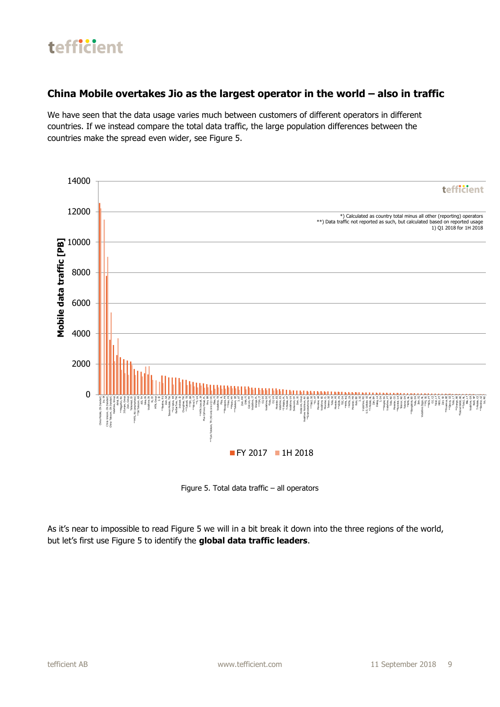### **China Mobile overtakes Jio as the largest operator in the world – also in traffic**

We have seen that the data usage varies much between customers of different operators in different countries. If we instead compare the total data traffic, the large population differences between the countries make the spread even wider, see Figure 5.



Figure 5. Total data traffic – all operators

As it's near to impossible to read Figure 5 we will in a bit break it down into the three regions of the world, but let's first use Figure 5 to identify the **global data traffic leaders**.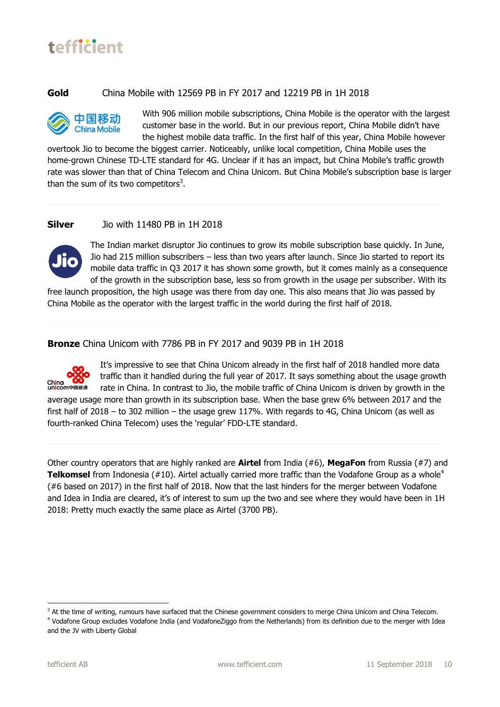#### **Gold** China Mobile with 12569 PB in FY 2017 and 12219 PB in 1H 2018

![](_page_9_Picture_3.jpeg)

With 906 million mobile subscriptions, China Mobile is the operator with the largest customer base in the world. But in our previous report, China Mobile didn't have the highest mobile data traffic. In the first half of this year, China Mobile however

overtook Jio to become the biggest carrier. Noticeably, unlike local competition, China Mobile uses the home-grown Chinese TD-LTE standard for 4G. Unclear if it has an impact, but China Mobile's traffic growth rate was slower than that of China Telecom and China Unicom. But China Mobile's subscription base is larger than the sum of its two competitors<sup>3</sup>.

#### **Silver** Jio with 11480 PB in 1H 2018

![](_page_9_Picture_7.jpeg)

The Indian market disruptor Jio continues to grow its mobile subscription base quickly. In June, Jio had 215 million subscribers – less than two years after launch. Since Jio started to report its mobile data traffic in Q3 2017 it has shown some growth, but it comes mainly as a consequence of the growth in the subscription base, less so from growth in the usage per subscriber. With its

free launch proposition, the high usage was there from day one. This also means that Jio was passed by China Mobile as the operator with the largest traffic in the world during the first half of 2018.

**Bronze** China Unicom with 7786 PB in FY 2017 and 9039 PB in 1H 2018

![](_page_9_Picture_11.jpeg)

It's impressive to see that China Unicom already in the first half of 2018 handled more data traffic than it handled during the full year of 2017. It says something about the usage growth rate in China. In contrast to Jio, the mobile traffic of China Unicom is driven by growth in the

average usage more than growth in its subscription base. When the base grew 6% between 2017 and the first half of 2018 – to 302 million – the usage grew 117%. With regards to 4G, China Unicom (as well as fourth-ranked China Telecom) uses the 'regular' FDD-LTE standard.

Other country operators that are highly ranked are **Airtel** from India (#6), **MegaFon** from Russia (#7) and **Telkomsel** from Indonesia (#10). Airtel actually carried more traffic than the Vodafone Group as a whole<sup>4</sup> (#6 based on 2017) in the first half of 2018. Now that the last hinders for the merger between Vodafone and Idea in India are cleared, it's of interest to sum up the two and see where they would have been in 1H 2018: Pretty much exactly the same place as Airtel (3700 PB).

**.** 

<sup>&</sup>lt;sup>3</sup> At the time of writing, rumours have surfaced that the Chinese government considers to merge China Unicom and China Telecom. <sup>4</sup> Vodafone Group excludes Vodafone India (and VodafoneZiggo from the Netherlands) from its definition due to the merger with Idea and the JV with Liberty Global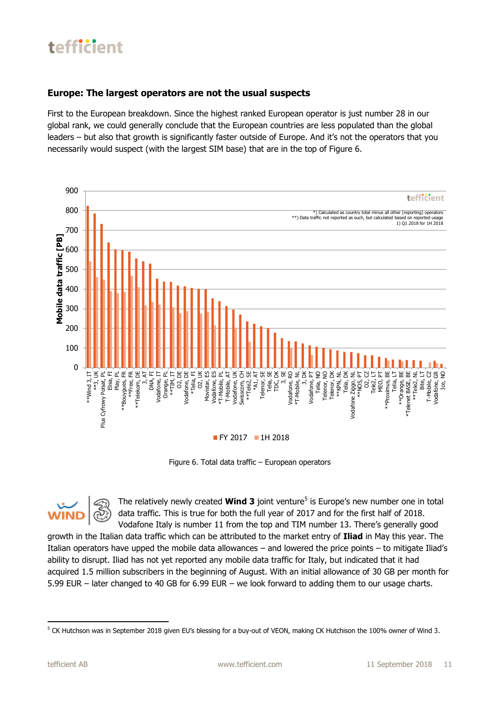#### **Europe: The largest operators are not the usual suspects**

First to the European breakdown. Since the highest ranked European operator is just number 28 in our global rank, we could generally conclude that the European countries are less populated than the global leaders – but also that growth is significantly faster outside of Europe. And it's not the operators that you necessarily would suspect (with the largest SIM base) that are in the top of Figure 6.

![](_page_10_Figure_3.jpeg)

Figure 6. Total data traffic – European operators

The relatively newly created **Wind 3** joint venture<sup>5</sup> is Europe's new number one in total data traffic. This is true for both the full year of 2017 and for the first half of 2018. Vodafone Italy is number 11 from the top and TIM number 13. There's generally good

growth in the Italian data traffic which can be attributed to the market entry of **Iliad** in May this year. The Italian operators have upped the mobile data allowances – and lowered the price points – to mitigate Iliad's ability to disrupt. Iliad has not yet reported any mobile data traffic for Italy, but indicated that it had acquired 1.5 million subscribers in the beginning of August. With an initial allowance of 30 GB per month for 5.99 EUR – later changed to 40 GB for 6.99 EUR – we look forward to adding them to our usage charts.

**<sup>.</sup>** <sup>5</sup> CK Hutchson was in September 2018 given EU's blessing for a buy-out of VEON, making CK Hutchison the 100% owner of Wind 3.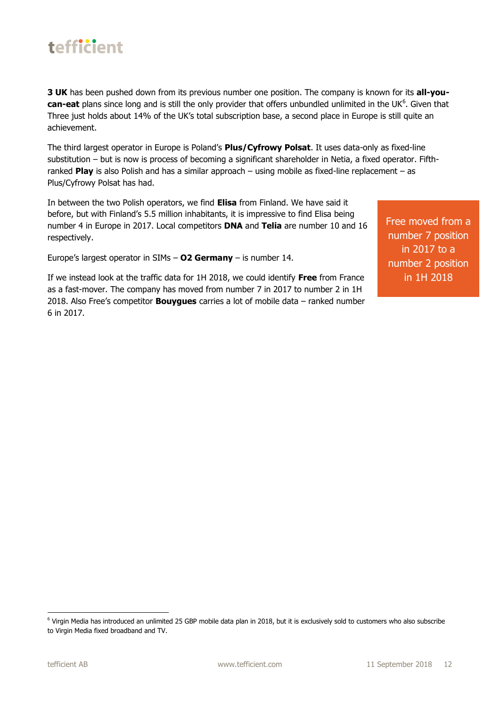**3 UK** has been pushed down from its previous number one position. The company is known for its **all-you**can-eat plans since long and is still the only provider that offers unbundled unlimited in the UK<sup>6</sup>. Given that Three just holds about 14% of the UK's total subscription base, a second place in Europe is still quite an achievement.

The third largest operator in Europe is Poland's **Plus/Cyfrowy Polsat**. It uses data-only as fixed-line substitution – but is now is process of becoming a significant shareholder in Netia, a fixed operator. Fifthranked **Play** is also Polish and has a similar approach – using mobile as fixed-line replacement – as Plus/Cyfrowy Polsat has had.

In between the two Polish operators, we find **Elisa** from Finland. We have said it before, but with Finland's 5.5 million inhabitants, it is impressive to find Elisa being number 4 in Europe in 2017. Local competitors **DNA** and **Telia** are number 10 and 16 respectively.

Europe's largest operator in SIMs – **O2 Germany** – is number 14.

If we instead look at the traffic data for 1H 2018, we could identify **Free** from France as a fast-mover. The company has moved from number 7 in 2017 to number 2 in 1H 2018. Also Free's competitor **Bouygues** carries a lot of mobile data – ranked number 6 in 2017.

Free moved from a number 7 position in 2017 to a number 2 position in 1H 2018

1

<sup>6</sup> Virgin Media has introduced an unlimited 25 GBP mobile data plan in 2018, but it is exclusively sold to customers who also subscribe to Virgin Media fixed broadband and TV.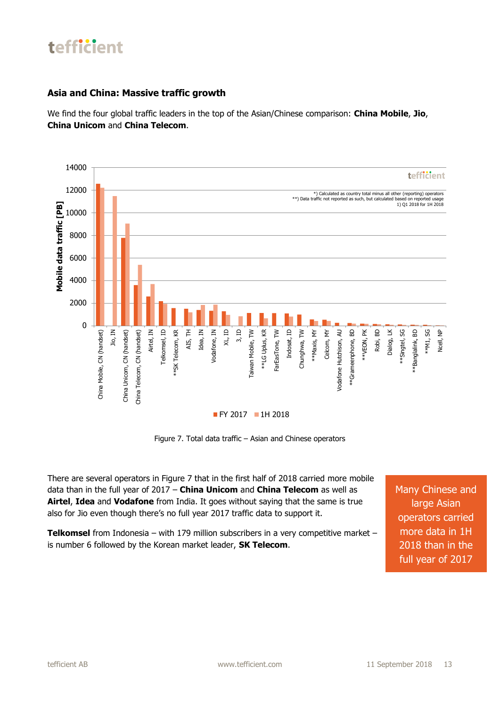#### **Asia and China: Massive traffic growth**

We find the four global traffic leaders in the top of the Asian/Chinese comparison: **China Mobile**, **Jio**, **China Unicom** and **China Telecom**.

![](_page_12_Figure_3.jpeg)

Figure 7. Total data traffic – Asian and Chinese operators

There are several operators in Figure 7 that in the first half of 2018 carried more mobile data than in the full year of 2017 – **China Unicom** and **China Telecom** as well as **Airtel**, **Idea** and **Vodafone** from India. It goes without saying that the same is true also for Jio even though there's no full year 2017 traffic data to support it.

**Telkomsel** from Indonesia – with 179 million subscribers in a very competitive market – is number 6 followed by the Korean market leader, **SK Telecom**.

Many Chinese and large Asian operators carried more data in 1H 2018 than in the full year of 2017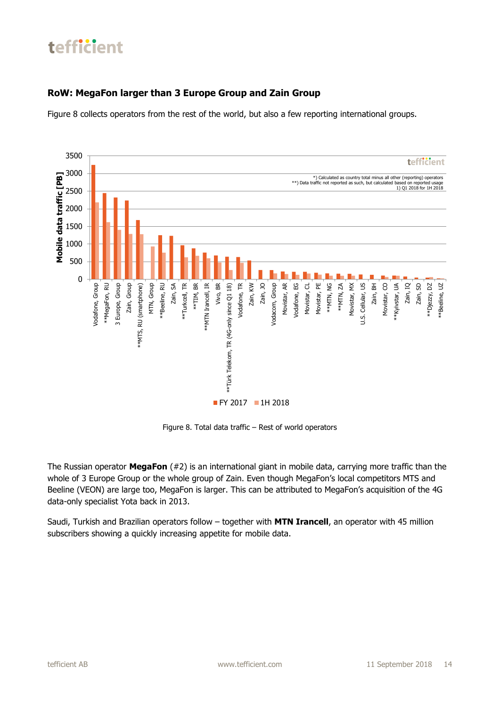#### **RoW: MegaFon larger than 3 Europe Group and Zain Group**

Figure 8 collects operators from the rest of the world, but also a few reporting international groups.

![](_page_13_Figure_3.jpeg)

Figure 8. Total data traffic – Rest of world operators

The Russian operator **MegaFon** (#2) is an international giant in mobile data, carrying more traffic than the whole of 3 Europe Group or the whole group of Zain. Even though MegaFon's local competitors MTS and Beeline (VEON) are large too, MegaFon is larger. This can be attributed to MegaFon's acquisition of the 4G data-only specialist Yota back in 2013.

Saudi, Turkish and Brazilian operators follow – together with **MTN Irancell**, an operator with 45 million subscribers showing a quickly increasing appetite for mobile data.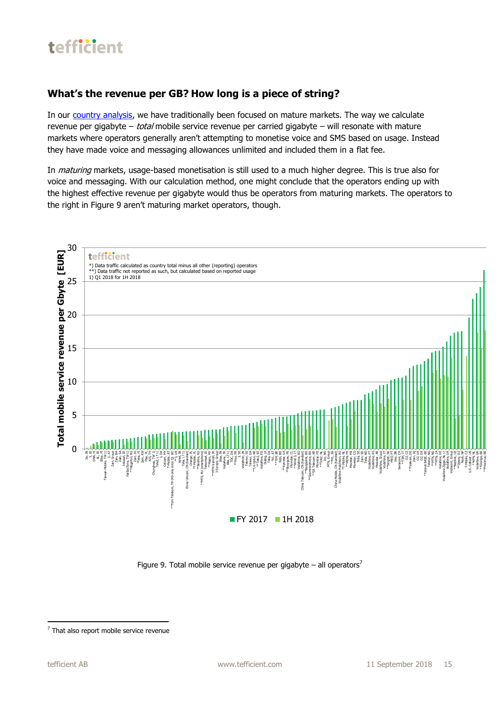![](_page_14_Picture_0.jpeg)

#### **What's the revenue per GB? How long is a piece of string?**

In our country [analysis,](https://tefficient.com/unlimited-moves-the-needle-but-its-when-mobile-addresses-slow-fixed-internet-that-something-happens/) we have traditionally been focused on mature markets. The way we calculate revenue per gigabyte – *total* mobile service revenue per carried gigabyte – will resonate with mature markets where operators generally aren't attempting to monetise voice and SMS based on usage. Instead they have made voice and messaging allowances unlimited and included them in a flat fee.

In *maturing* markets, usage-based monetisation is still used to a much higher degree. This is true also for voice and messaging. With our calculation method, one might conclude that the operators ending up with the highest effective revenue per gigabyte would thus be operators from maturing markets. The operators to the right in Figure 9 aren't maturing market operators, though.

![](_page_14_Figure_4.jpeg)

Figure 9. Total mobile service revenue per gigabyte – all operators<sup>7</sup>

**.** 

<sup>&</sup>lt;sup>7</sup> That also report mobile service revenue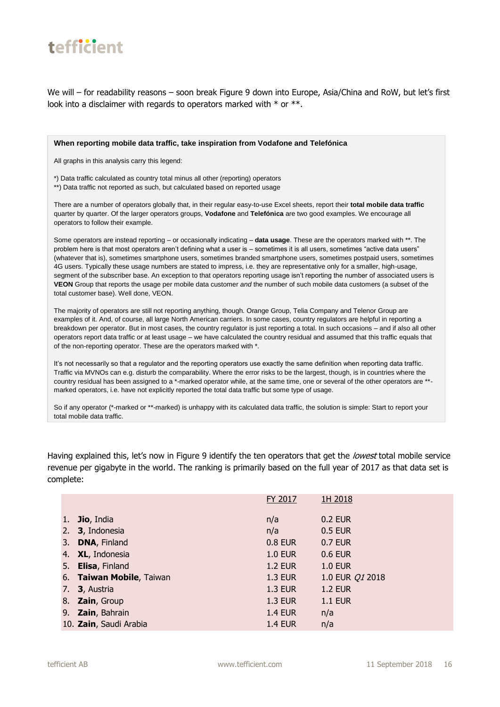![](_page_15_Picture_0.jpeg)

We will – for readability reasons – soon break Figure 9 down into Europe, Asia/China and RoW, but let's first look into a disclaimer with regards to operators marked with  $*$  or  $**$ .

#### **When reporting mobile data traffic, take inspiration from Vodafone and Telefónica**

All graphs in this analysis carry this legend:

\*) Data traffic calculated as country total minus all other (reporting) operators

\*\*) Data traffic not reported as such, but calculated based on reported usage

There are a number of operators globally that, in their regular easy-to-use Excel sheets, report their **total mobile data traffic** quarter by quarter. Of the larger operators groups, **Vodafone** and **Telefónica** are two good examples. We encourage all operators to follow their example.

Some operators are instead reporting – or occasionally indicating – **data usage**. These are the operators marked with \*\*. The problem here is that most operators aren't defining what a user is – sometimes it is all users, sometimes "active data users" (whatever that is), sometimes smartphone users, sometimes branded smartphone users, sometimes postpaid users, sometimes 4G users. Typically these usage numbers are stated to impress, i.e. they are representative only for a smaller, high-usage, segment of the subscriber base. An exception to that operators reporting usage isn't reporting the number of associated users is **VEON** Group that reports the usage per mobile data customer *and* the number of such mobile data customers (a subset of the total customer base). Well done, VEON.

The majority of operators are still not reporting anything, though. Orange Group, Telia Company and Telenor Group are examples of it. And, of course, all large North American carriers. In some cases, country regulators are helpful in reporting a breakdown per operator. But in most cases, the country regulator is just reporting a total. In such occasions – and if also all other operators report data traffic or at least usage – we have calculated the country residual and assumed that this traffic equals that of the non-reporting operator. These are the operators marked with \*.

It's not necessarily so that a regulator and the reporting operators use exactly the same definition when reporting data traffic. Traffic via MVNOs can e.g. disturb the comparability. Where the error risks to be the largest, though, is in countries where the country residual has been assigned to a \*-marked operator while, at the same time, one or several of the other operators are \*\* marked operators, i.e. have not explicitly reported the total data traffic but some type of usage.

So if any operator (\*-marked or \*\*-marked) is unhappy with its calculated data traffic, the solution is simple: Start to report your total mobile data traffic.

Having explained this, let's now in Figure 9 identify the ten operators that get the *lowest* total mobile service revenue per gigabyte in the world. The ranking is primarily based on the full year of 2017 as that data set is complete:

|     |                          | FY 2017        | 1H 2018                |
|-----|--------------------------|----------------|------------------------|
|     |                          |                |                        |
| 1.7 | Jio, India               | n/a            | 0.2 EUR                |
|     | 2. 3, Indonesia          | n/a            | 0.5 EUR                |
| 3.  | <b>DNA, Finland</b>      | <b>0.8 EUR</b> | 0.7 EUR                |
|     | 4. XL, Indonesia         | <b>1.0 EUR</b> | 0.6 EUR                |
| 5.  | <b>Elisa, Finland</b>    | <b>1.2 EUR</b> | <b>1.0 EUR</b>         |
|     | 6. Taiwan Mobile, Taiwan | <b>1.3 EUR</b> | 1.0 EUR <i>Q1</i> 2018 |
|     | 7. <b>3</b> , Austria    | <b>1.3 EUR</b> | <b>1.2 EUR</b>         |
|     | 8. Zain, Group           | <b>1.3 EUR</b> | <b>1.1 EUR</b>         |
| 9.  | Zain, Bahrain            | <b>1.4 EUR</b> | n/a                    |
|     | 10. Zain, Saudi Arabia   | <b>1.4 EUR</b> | n/a                    |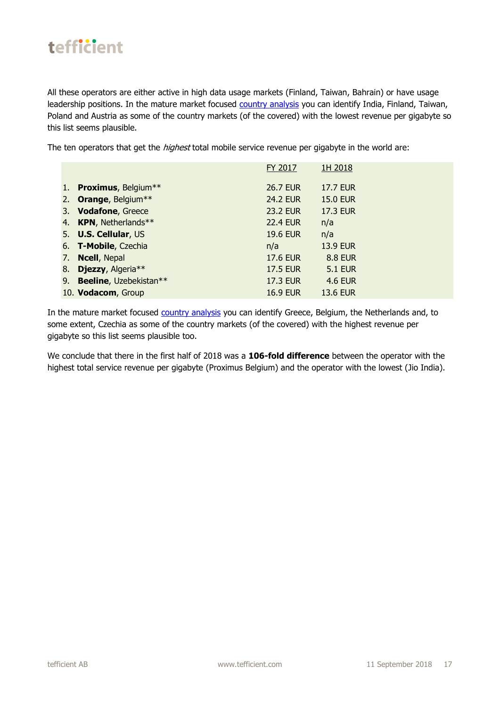All these operators are either active in high data usage markets (Finland, Taiwan, Bahrain) or have usage leadership positions. In the mature market focused country [analysis](https://tefficient.com/unlimited-moves-the-needle-but-its-when-mobile-addresses-slow-fixed-internet-that-something-happens/) you can identify India, Finland, Taiwan, Poland and Austria as some of the country markets (of the covered) with the lowest revenue per gigabyte so this list seems plausible.

The ten operators that get the *highest* total mobile service revenue per gigabyte in the world are:

|                           | FY 2017         | 1H 2018         |
|---------------------------|-----------------|-----------------|
| 1. Proximus, Belgium**    | <b>26.7 EUR</b> | <b>17.7 EUR</b> |
| 2. Orange, Belgium**      | <b>24.2 EUR</b> | <b>15.0 EUR</b> |
| 3. Vodafone, Greece       | <b>23.2 EUR</b> | <b>17.3 EUR</b> |
| 4. KPN, Netherlands**     | <b>22.4 EUR</b> | n/a             |
| 5. U.S. Cellular, US      | <b>19.6 EUR</b> | n/a             |
| 6. T-Mobile, Czechia      | n/a             | <b>13.9 EUR</b> |
| 7. Ncell, Nepal           | <b>17.6 EUR</b> | <b>8.8 EUR</b>  |
| 8. Djezzy, Algeria**      | <b>17.5 EUR</b> | <b>5.1 EUR</b>  |
| 9. Beeline, Uzebekistan** | 17.3 EUR        | <b>4.6 EUR</b>  |
| 10. Vodacom, Group        | <b>16.9 EUR</b> | <b>13.6 EUR</b> |

In the mature market focused country [analysis](https://tefficient.com/unlimited-moves-the-needle-but-its-when-mobile-addresses-slow-fixed-internet-that-something-happens/) you can identify Greece, Belgium, the Netherlands and, to some extent, Czechia as some of the country markets (of the covered) with the highest revenue per gigabyte so this list seems plausible too.

We conclude that there in the first half of 2018 was a **106-fold difference** between the operator with the highest total service revenue per gigabyte (Proximus Belgium) and the operator with the lowest (Jio India).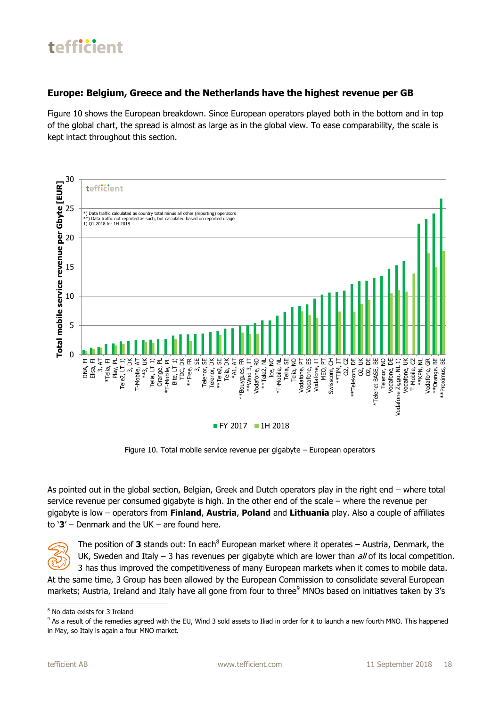#### **Europe: Belgium, Greece and the Netherlands have the highest revenue per GB**

Figure 10 shows the European breakdown. Since European operators played both in the bottom and in top of the global chart, the spread is almost as large as in the global view. To ease comparability, the scale is kept intact throughout this section.

![](_page_17_Figure_3.jpeg)

Figure 10. Total mobile service revenue per gigabyte – European operators

As pointed out in the global section, Belgian, Greek and Dutch operators play in the right end – where total service revenue per consumed gigabyte is high. In the other end of the scale – where the revenue per gigabyte is low – operators from **Finland**, **Austria**, **Poland** and **Lithuania** play. Also a couple of affiliates to '**3**' – Denmark and the UK – are found here.

![](_page_17_Picture_6.jpeg)

**.** 

The position of 3 stands out: In each<sup>8</sup> European market where it operates – Austria, Denmark, the UK, Sweden and Italy  $-3$  has revenues per gigabyte which are lower than  $d/d$  of its local competition. 3 has thus improved the competitiveness of many European markets when it comes to mobile data.

At the same time, 3 Group has been allowed by the European Commission to consolidate several European markets; Austria, Ireland and Italy have all gone from four to three<sup>9</sup> MNOs based on initiatives taken by 3's

<sup>8</sup> No data exists for 3 Ireland

<sup>&</sup>lt;sup>9</sup> As a result of the remedies agreed with the EU, Wind 3 sold assets to Iliad in order for it to launch a new fourth MNO. This happened in May, so Italy is again a four MNO market.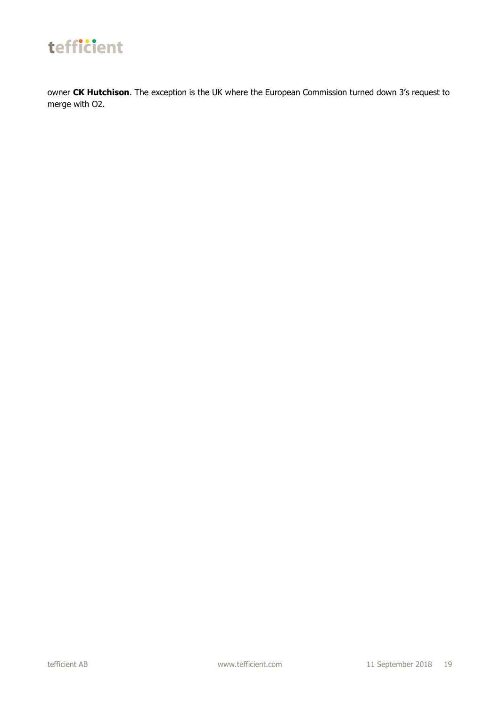![](_page_18_Picture_0.jpeg)

owner **CK Hutchison**. The exception is the UK where the European Commission turned down 3's request to merge with O2.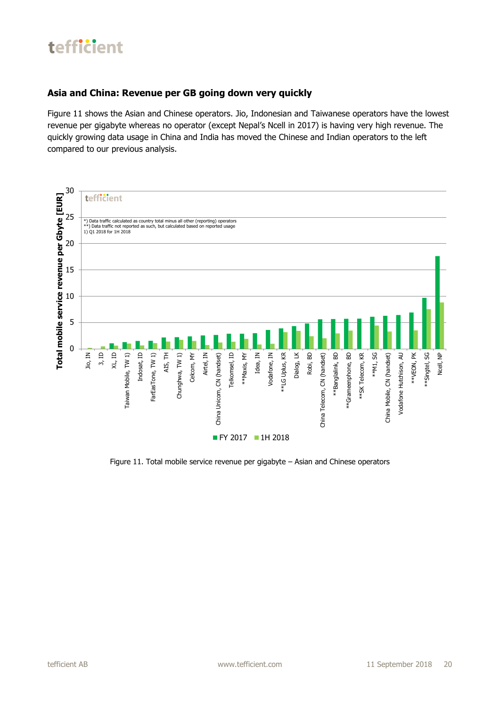#### **Asia and China: Revenue per GB going down very quickly**

Figure 11 shows the Asian and Chinese operators. Jio, Indonesian and Taiwanese operators have the lowest revenue per gigabyte whereas no operator (except Nepal's Ncell in 2017) is having very high revenue. The quickly growing data usage in China and India has moved the Chinese and Indian operators to the left compared to our previous analysis.

![](_page_19_Figure_3.jpeg)

Figure 11. Total mobile service revenue per gigabyte – Asian and Chinese operators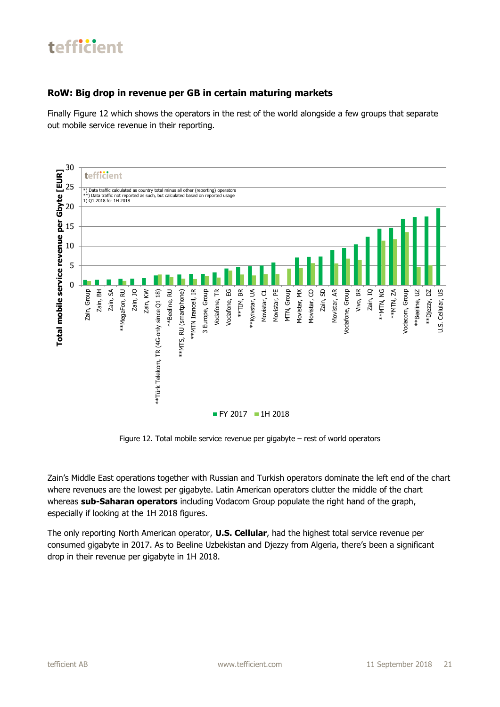#### **RoW: Big drop in revenue per GB in certain maturing markets**

Finally Figure 12 which shows the operators in the rest of the world alongside a few groups that separate out mobile service revenue in their reporting.

![](_page_20_Figure_3.jpeg)

Figure 12. Total mobile service revenue per gigabyte – rest of world operators

Zain's Middle East operations together with Russian and Turkish operators dominate the left end of the chart where revenues are the lowest per gigabyte. Latin American operators clutter the middle of the chart whereas **sub-Saharan operators** including Vodacom Group populate the right hand of the graph, especially if looking at the 1H 2018 figures.

The only reporting North American operator, **U.S. Cellular**, had the highest total service revenue per consumed gigabyte in 2017. As to Beeline Uzbekistan and Djezzy from Algeria, there's been a significant drop in their revenue per gigabyte in 1H 2018.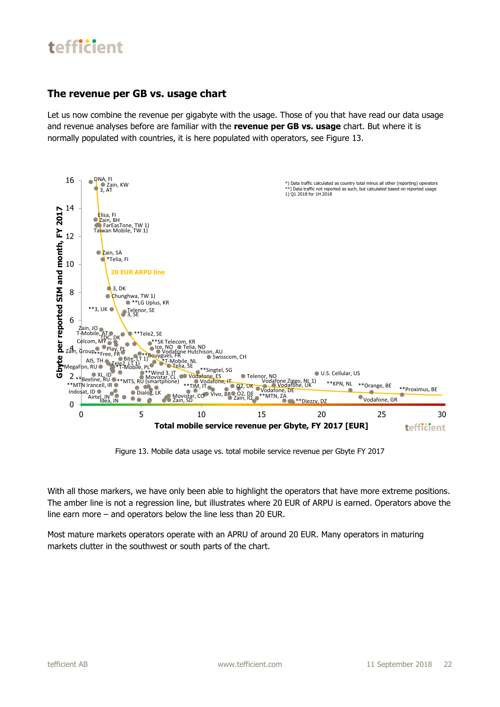#### **The revenue per GB vs. usage chart**

Let us now combine the revenue per gigabyte with the usage. Those of you that have read our data usage and revenue analyses before are familiar with the **revenue per GB vs. usage** chart. But where it is normally populated with countries, it is here populated with operators, see Figure 13.

![](_page_21_Figure_3.jpeg)

Figure 13. Mobile data usage vs. total mobile service revenue per Gbyte FY 2017

With all those markers, we have only been able to highlight the operators that have more extreme positions. The amber line is not a regression line, but illustrates where 20 EUR of ARPU is earned. Operators above the line earn more – and operators below the line less than 20 EUR.

Most mature markets operators operate with an APRU of around 20 EUR. Many operators in maturing markets clutter in the southwest or south parts of the chart.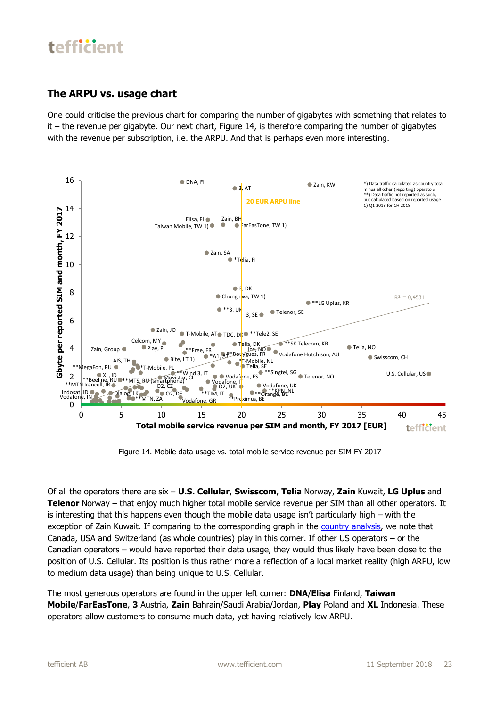#### **The ARPU vs. usage chart**

One could criticise the previous chart for comparing the number of gigabytes with something that relates to it – the revenue per gigabyte. Our next chart, Figure 14, is therefore comparing the number of gigabytes with the revenue per subscription, i.e. the ARPU. And that is perhaps even more interesting.

![](_page_22_Figure_3.jpeg)

Figure 14. Mobile data usage vs. total mobile service revenue per SIM FY 2017

Of all the operators there are six – **U.S. Cellular**, **Swisscom**, **Telia** Norway, **Zain** Kuwait, **LG Uplus** and **Telenor** Norway – that enjoy much higher total mobile service revenue per SIM than all other operators. It is interesting that this happens even though the mobile data usage isn't particularly high – with the exception of Zain Kuwait. If comparing to the corresponding graph in the [country analysis,](https://tefficient.com/unlimited-moves-the-needle-but-its-when-mobile-addresses-slow-fixed-internet-that-something-happens/) we note that Canada, USA and Switzerland (as whole countries) play in this corner. If other US operators – or the Canadian operators – would have reported their data usage, they would thus likely have been close to the position of U.S. Cellular. Its position is thus rather more a reflection of a local market reality (high ARPU, low to medium data usage) than being unique to U.S. Cellular.

The most generous operators are found in the upper left corner: **DNA**/**Elisa** Finland, **Taiwan Mobile**/**FarEasTone**, **3** Austria, **Zain** Bahrain/Saudi Arabia/Jordan, **Play** Poland and **XL** Indonesia. These operators allow customers to consume much data, yet having relatively low ARPU.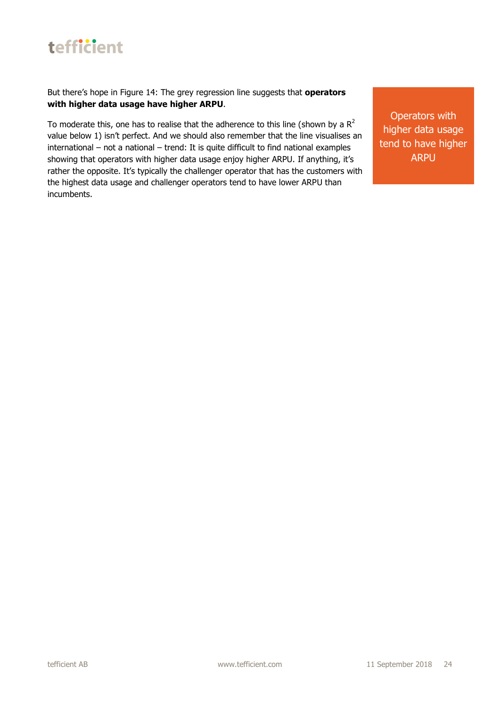But there's hope in Figure 14: The grey regression line suggests that **operators with higher data usage have higher ARPU**.

To moderate this, one has to realise that the adherence to this line (shown by a  $R^2$ value below 1) isn't perfect. And we should also remember that the line visualises an international – not a national – trend: It is quite difficult to find national examples showing that operators with higher data usage enjoy higher ARPU. If anything, it's rather the opposite. It's typically the challenger operator that has the customers with the highest data usage and challenger operators tend to have lower ARPU than incumbents.

Operators with higher data usage tend to have higher ARPU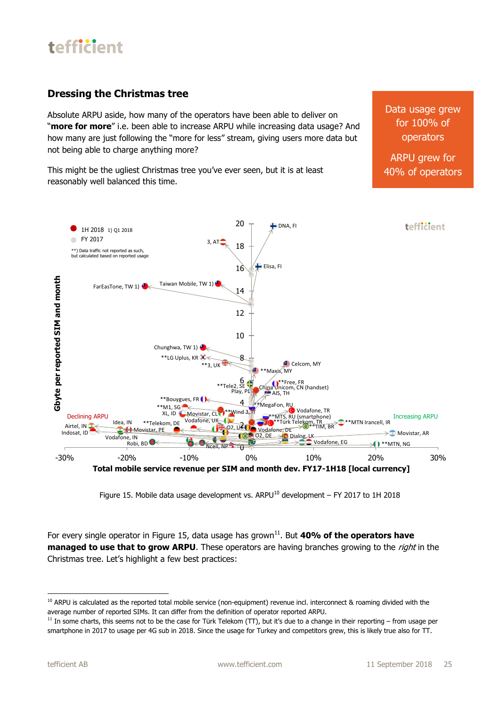### **Dressing the Christmas tree**

Absolute ARPU aside, how many of the operators have been able to deliver on "**more for more**" i.e. been able to increase ARPU while increasing data usage? And how many are just following the "more for less" stream, giving users more data but not being able to charge anything more?

This might be the ugliest Christmas tree you've ever seen, but it is at least reasonably well balanced this time.

Data usage grew for 100% of operators

ARPU grew for 40% of operators

![](_page_24_Figure_6.jpeg)

Figure 15. Mobile data usage development vs. ARPU<sup>10</sup> development – FY 2017 to 1H 2018

For every single operator in Figure 15, data usage has grown<sup>11</sup>. But 40% of the operators have **managed to use that to grow ARPU**. These operators are having branches growing to the *right* in the Christmas tree. Let's highlight a few best practices:

**<sup>.</sup>** <sup>10</sup> ARPU is calculated as the reported total mobile service (non-equipment) revenue incl. interconnect & roaming divided with the average number of reported SIMs. It can differ from the definition of operator reported ARPU.

 $11$  In some charts, this seems not to be the case for Türk Telekom (TT), but it's due to a change in their reporting – from usage per smartphone in 2017 to usage per 4G sub in 2018. Since the usage for Turkey and competitors grew, this is likely true also for TT.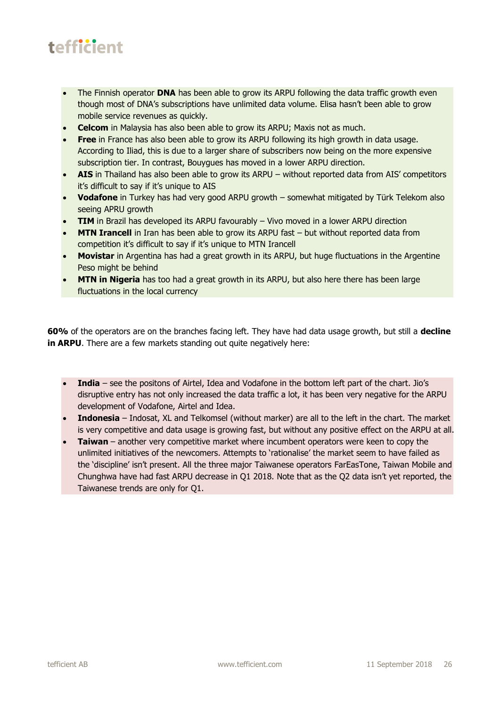- The Finnish operator **DNA** has been able to grow its ARPU following the data traffic growth even though most of DNA's subscriptions have unlimited data volume. Elisa hasn't been able to grow mobile service revenues as quickly.
- **Celcom** in Malaysia has also been able to grow its ARPU; Maxis not as much.
- **Free** in France has also been able to grow its ARPU following its high growth in data usage. According to Iliad, this is due to a larger share of subscribers now being on the more expensive subscription tier. In contrast, Bouygues has moved in a lower ARPU direction.
- **AIS** in Thailand has also been able to grow its ARPU without reported data from AIS' competitors it's difficult to say if it's unique to AIS
- **Vodafone** in Turkey has had very good ARPU growth somewhat mitigated by Türk Telekom also seeing APRU growth
- **TIM** in Brazil has developed its ARPU favourably Vivo moved in a lower ARPU direction
- **MTN Irancell** in Iran has been able to grow its ARPU fast but without reported data from competition it's difficult to say if it's unique to MTN Irancell
- **Movistar** in Argentina has had a great growth in its ARPU, but huge fluctuations in the Argentine Peso might be behind
- **MTN in Nigeria** has too had a great growth in its ARPU, but also here there has been large fluctuations in the local currency

**60%** of the operators are on the branches facing left. They have had data usage growth, but still a **decline in ARPU**. There are a few markets standing out quite negatively here:

- **India** see the positons of Airtel, Idea and Vodafone in the bottom left part of the chart. Jio's disruptive entry has not only increased the data traffic a lot, it has been very negative for the ARPU development of Vodafone, Airtel and Idea.
- **Indonesia**  Indosat, XL and Telkomsel (without marker) are all to the left in the chart. The market is very competitive and data usage is growing fast, but without any positive effect on the ARPU at all.
- **Taiwan**  another very competitive market where incumbent operators were keen to copy the unlimited initiatives of the newcomers. Attempts to 'rationalise' the market seem to have failed as the 'discipline' isn't present. All the three major Taiwanese operators FarEasTone, Taiwan Mobile and Chunghwa have had fast ARPU decrease in Q1 2018. Note that as the Q2 data isn't yet reported, the Taiwanese trends are only for Q1.